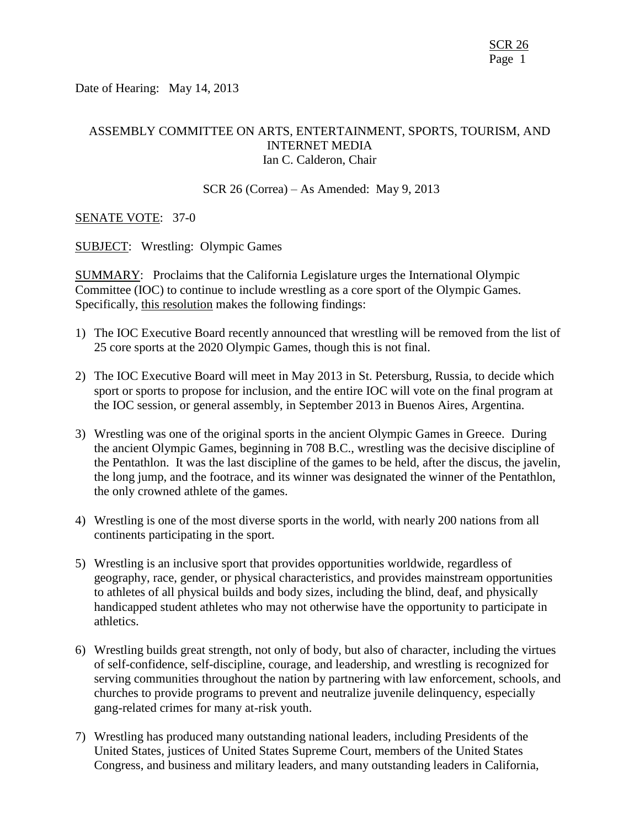Date of Hearing: May 14, 2013

## ASSEMBLY COMMITTEE ON ARTS, ENTERTAINMENT, SPORTS, TOURISM, AND INTERNET MEDIA Ian C. Calderon, Chair

#### SCR 26 (Correa) – As Amended: May 9, 2013

#### SENATE VOTE: 37-0

SUBJECT: Wrestling: Olympic Games

SUMMARY: Proclaims that the California Legislature urges the International Olympic Committee (IOC) to continue to include wrestling as a core sport of the Olympic Games. Specifically, this resolution makes the following findings:

- 1) The IOC Executive Board recently announced that wrestling will be removed from the list of 25 core sports at the 2020 Olympic Games, though this is not final.
- 2) The IOC Executive Board will meet in May 2013 in St. Petersburg, Russia, to decide which sport or sports to propose for inclusion, and the entire IOC will vote on the final program at the IOC session, or general assembly, in September 2013 in Buenos Aires, Argentina.
- 3) Wrestling was one of the original sports in the ancient Olympic Games in Greece. During the ancient Olympic Games, beginning in 708 B.C., wrestling was the decisive discipline of the Pentathlon. It was the last discipline of the games to be held, after the discus, the javelin, the long jump, and the footrace, and its winner was designated the winner of the Pentathlon, the only crowned athlete of the games.
- 4) Wrestling is one of the most diverse sports in the world, with nearly 200 nations from all continents participating in the sport.
- 5) Wrestling is an inclusive sport that provides opportunities worldwide, regardless of geography, race, gender, or physical characteristics, and provides mainstream opportunities to athletes of all physical builds and body sizes, including the blind, deaf, and physically handicapped student athletes who may not otherwise have the opportunity to participate in athletics.
- 6) Wrestling builds great strength, not only of body, but also of character, including the virtues of self-confidence, self-discipline, courage, and leadership, and wrestling is recognized for serving communities throughout the nation by partnering with law enforcement, schools, and churches to provide programs to prevent and neutralize juvenile delinquency, especially gang-related crimes for many at-risk youth.
- 7) Wrestling has produced many outstanding national leaders, including Presidents of the United States, justices of United States Supreme Court, members of the United States Congress, and business and military leaders, and many outstanding leaders in California,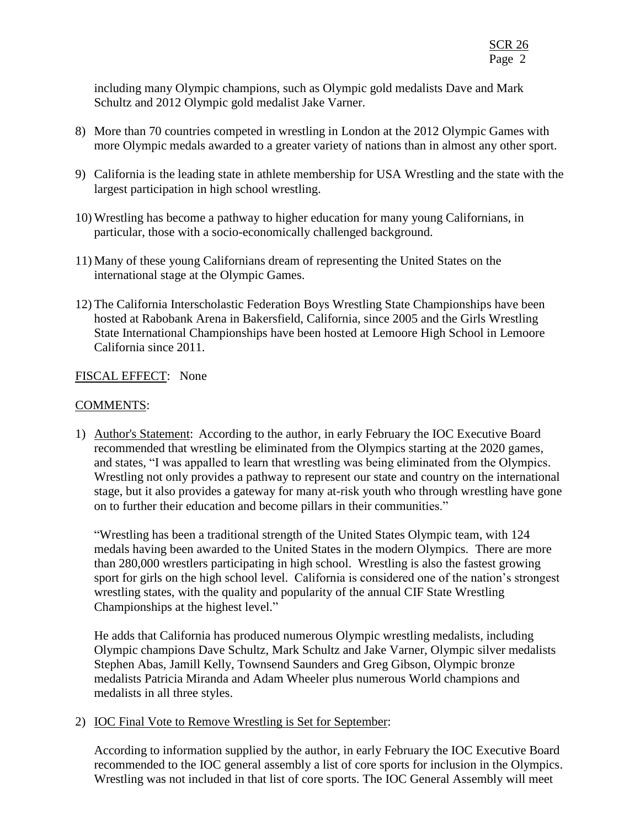including many Olympic champions, such as Olympic gold medalists Dave and Mark Schultz and 2012 Olympic gold medalist Jake Varner.

- 8) More than 70 countries competed in wrestling in London at the 2012 Olympic Games with more Olympic medals awarded to a greater variety of nations than in almost any other sport.
- 9) California is the leading state in athlete membership for USA Wrestling and the state with the largest participation in high school wrestling.
- 10) Wrestling has become a pathway to higher education for many young Californians, in particular, those with a socio-economically challenged background.
- 11) Many of these young Californians dream of representing the United States on the international stage at the Olympic Games.
- 12) The California Interscholastic Federation Boys Wrestling State Championships have been hosted at Rabobank Arena in Bakersfield, California, since 2005 and the Girls Wrestling State International Championships have been hosted at Lemoore High School in Lemoore California since 2011.

### FISCAL EFFECT: None

### COMMENTS:

1) Author's Statement: According to the author, in early February the IOC Executive Board recommended that wrestling be eliminated from the Olympics starting at the 2020 games, and states, "I was appalled to learn that wrestling was being eliminated from the Olympics. Wrestling not only provides a pathway to represent our state and country on the international stage, but it also provides a gateway for many at-risk youth who through wrestling have gone on to further their education and become pillars in their communities."

"Wrestling has been a traditional strength of the United States Olympic team, with 124 medals having been awarded to the United States in the modern Olympics. There are more than 280,000 wrestlers participating in high school. Wrestling is also the fastest growing sport for girls on the high school level. California is considered one of the nation's strongest wrestling states, with the quality and popularity of the annual CIF State Wrestling Championships at the highest level."

He adds that California has produced numerous Olympic wrestling medalists, including Olympic champions Dave Schultz, Mark Schultz and Jake Varner, Olympic silver medalists Stephen Abas, Jamill Kelly, Townsend Saunders and Greg Gibson, Olympic bronze medalists Patricia Miranda and Adam Wheeler plus numerous World champions and medalists in all three styles.

2) IOC Final Vote to Remove Wrestling is Set for September:

According to information supplied by the author, in early February the IOC Executive Board recommended to the IOC general assembly a list of core sports for inclusion in the Olympics. Wrestling was not included in that list of core sports. The IOC General Assembly will meet